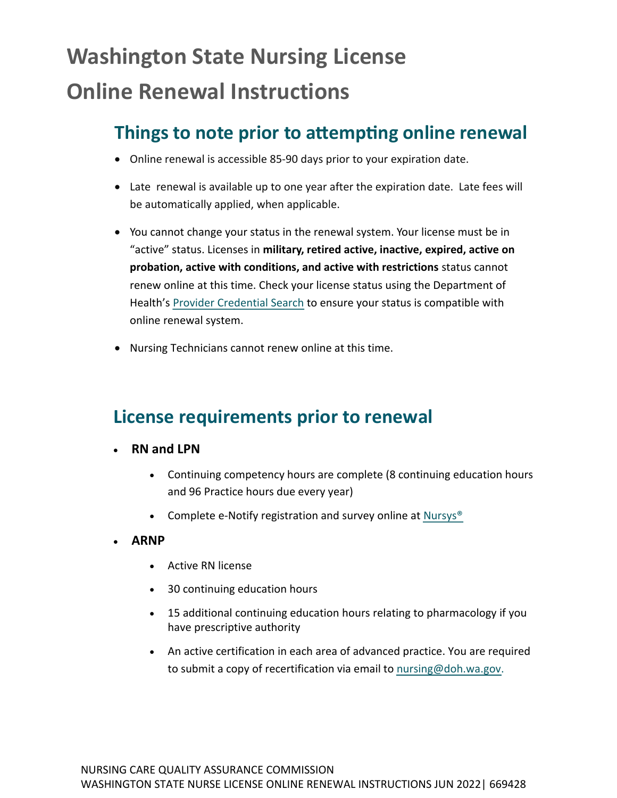# **Washington State Nursing License Online Renewal Instructions**

### **Things to note prior to attempting online renewal**

- Online renewal is accessible 85-90 days prior to your expiration date.
- Late renewal is available up to one year after the expiration date. Late fees will be automatically applied, when applicable.
- You cannot change your status in the renewal system. Your license must be in "active" status. Licenses in **military, retired active, inactive, expired, active on probation, active with conditions, and active with restrictions** status cannot renew online at this time. Check your license status using the Department of Health's [Provider Credential Search](https://fortress.wa.gov/doh/providercredentialsearch/) to ensure your status is compatible with online renewal system.
- Nursing Technicians cannot renew online at this time.

### **License requirements prior to renewal**

- **RN and LPN**
	- Continuing competency hours are complete (8 continuing education hours and 96 Practice hours due every year)
	- Complete e-Notify registration and survey online at Nursys<sup>®</sup>
- **ARNP**
	- Active RN license
	- 30 continuing education hours
	- 15 additional continuing education hours relating to pharmacology if you have prescriptive authority
	- An active certification in each area of advanced practice. You are required to submit a copy of recertification via email to [nursing@doh.wa.gov.](mailto:nursing@doh.wa.gov)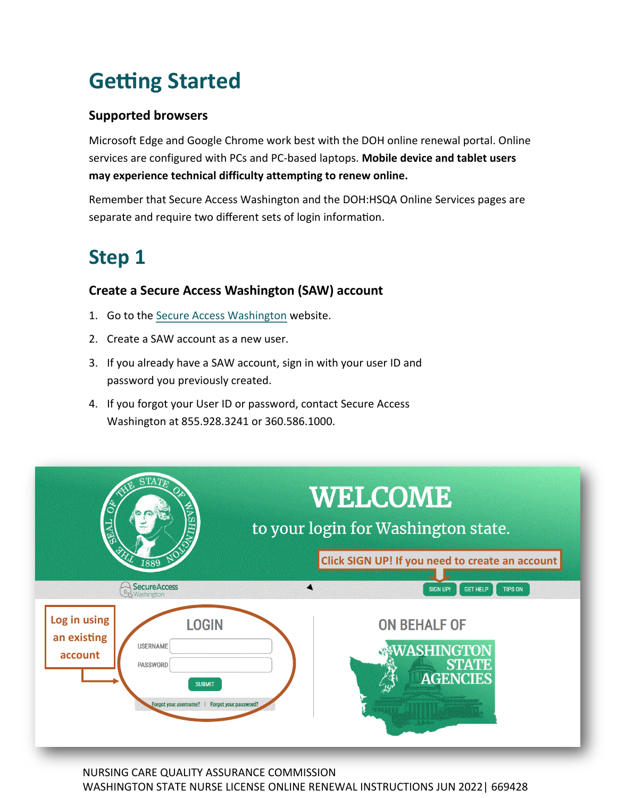## **Getting Started**

#### **Supported browsers**

Microsoft Edge and Google Chrome work best with the DOH online renewal portal. Online services are configured with PCs and PC-based laptops. **Mobile device and tablet users may experience technical difficulty attempting to renew online.** 

Remember that Secure Access Washington and the DOH:HSQA Online Services pages are separate and require two different sets of login information.

### **Step 1**

#### **Create a Secure Access Washington (SAW) account**

- 1. Go to the [Secure Access Washington](https://secureaccess.wa.gov/public/saw/pub/remindAndReset.do) website.
- 2. Create a SAW account as a new user.
- 3. If you already have a SAW account, sign in with your user ID and password you previously created.
- 4. If you forgot your User ID or password, contact Secure Access Washington at 855.928.3241 or 360.586.1000.

| STATE<br><b>ONTIFIESY</b><br>1889 NV<br><b>SecureAccess</b><br><b>Washington</b>                                                                               | <b>WELCOME</b><br>to your login for Washington state.<br>Click SIGN UP! If you need to create an account<br>▲<br><b>SIGN UP!</b><br><b>GET HELP</b><br><b>TIPS ON</b> |
|----------------------------------------------------------------------------------------------------------------------------------------------------------------|-----------------------------------------------------------------------------------------------------------------------------------------------------------------------|
| Log in using<br><b>LOGIN</b><br>an existing<br><b>USERNAME</b><br>account<br><b>PASSWORD</b><br><b>SUBMIT</b><br>Forgot your username?   Forgot your password? | <b>ON BEHALF OF</b><br><b>WASHINGTON</b><br><b>STATE</b><br><b>AGENCIES</b>                                                                                           |

NURSING CARE QUALITY ASSURANCE COMMISSION WASHINGTON STATE NURSE LICENSE ONLINE RENEWAL INSTRUCTIONS JUN 2022| 669428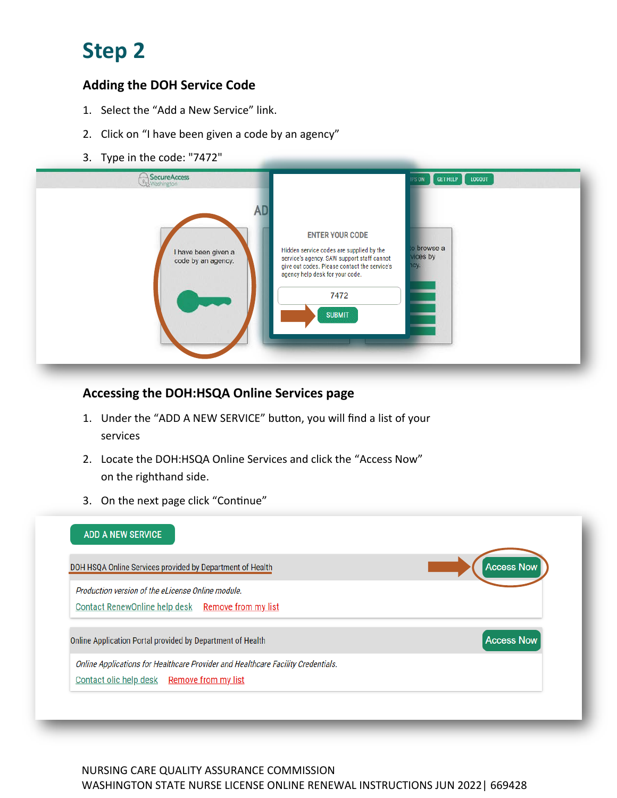## **Step 2**

#### **Adding the DOH Service Code**

- 1. Select the "Add a New Service" link.
- 2. Click on "I have been given a code by an agency"
- 3. Type in the code: "7472"



#### **Accessing the DOH:HSQA Online Services page**

- 1. Under the "ADD A NEW SERVICE" button, you will find a list of your services
- 2. Locate the DOH:HSQA Online Services and click the "Access Now" on the righthand side.
- 3. On the next page click "Continue"



#### NURSING CARE QUALITY ASSURANCE COMMISSION WASHINGTON STATE NURSE LICENSE ONLINE RENEWAL INSTRUCTIONS JUN 2022| 669428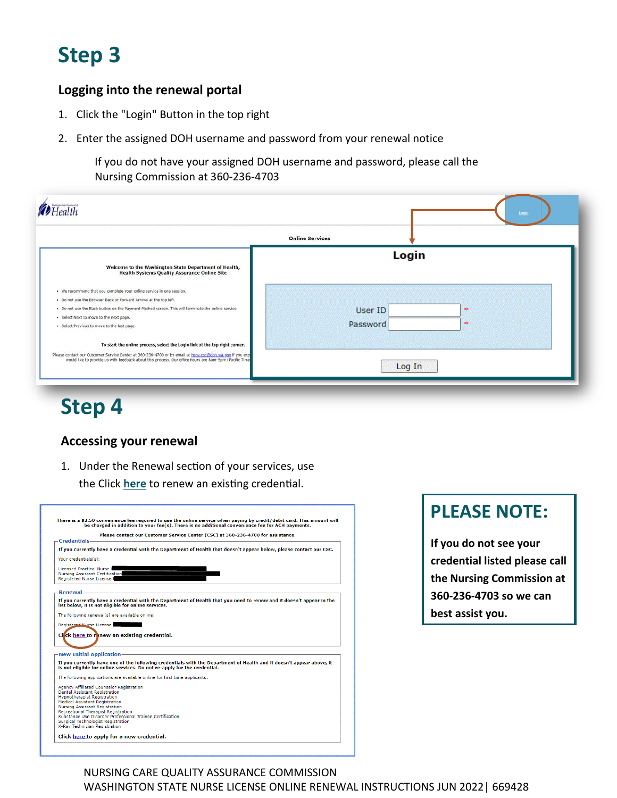### **Step 3**

#### **Logging into the renewal portal**

- 1. Click the "Login" Button in the top right
- 2. Enter the assigned DOH username and password from your renewal notice

If you do not have your assigned DOH username and password, please call the Nursing Commission at 360-236-4703

|                                                                                                                                                                                                                                                                                                                                          | <b>Online Services</b>                         |
|------------------------------------------------------------------------------------------------------------------------------------------------------------------------------------------------------------------------------------------------------------------------------------------------------------------------------------------|------------------------------------------------|
| Welcome to the Washington State Department of Health,<br><b>Health Systems Quality Assurance Online Site</b>                                                                                                                                                                                                                             | Login                                          |
| . We recommend that you complete your online service in one session.<br>. Do not use the Browser Back or Forward Arrows at the top left.<br>. Do not use the Back button on the Payment Method screen. This will terminate the online service.<br>· Select Next to move to the next page.<br>· Select Previous to move to the last page. | User ID<br><b>SET</b><br>Password<br><b>BE</b> |
| To start the online process, select the Login link at the top right corner.<br>Please contact our Customer Service Center at 360-236-4700 or by email at hspa.csc@doh.wa.gov if you exp<br>would like to provide us with feedback about this process. Our office hours are 8am-5pm (Pacific Time                                         | Log In                                         |

## **Step 4**

#### **Accessing your renewal**

1. Under the Renewal section of your services, use the Click **here** to renew an existing credential.

| Credentials—                                                                |                                                                                                                                                                                                  |
|-----------------------------------------------------------------------------|--------------------------------------------------------------------------------------------------------------------------------------------------------------------------------------------------|
|                                                                             |                                                                                                                                                                                                  |
|                                                                             | If you currently have a credential with the Department of Health that doesn't appear below, please contact our CSC.                                                                              |
| Your credentials(s):                                                        |                                                                                                                                                                                                  |
| Registered Nurse License                                                    | Licensed Practical Nurse Licenco<br>Nursing Assistant Certification                                                                                                                              |
| <b>Renewal</b>                                                              |                                                                                                                                                                                                  |
|                                                                             | If you currently have a credential with the Department of Health that you need to renew and it doesn't appear in the<br>list below, it is not eligible for online services.                      |
|                                                                             | The following renewal(s) are available online:                                                                                                                                                   |
|                                                                             | Registered Nurse License                                                                                                                                                                         |
|                                                                             | Click here to renew an existing credential.<br>the control of the control of the control of the control of the control of the control of                                                         |
|                                                                             | - New Initial Application —————————————————————————————                                                                                                                                          |
|                                                                             | If you currently have one of the following credentials with the Department of Health and it doesn't appear above, it<br>is not eligible for online services. Do not re-apply for the credential. |
|                                                                             | The following applications are available online for first time applicants:                                                                                                                       |
|                                                                             | Agency Affiliated Counselor Registration                                                                                                                                                         |
| <b>Dental Assistant Registration</b>                                        |                                                                                                                                                                                                  |
| <b>Hypnotherapist Registration</b><br><b>Medical Assistant Registration</b> |                                                                                                                                                                                                  |
| <b>Nursing Assistant Registration</b>                                       |                                                                                                                                                                                                  |
|                                                                             | Recreational Therapist Registration                                                                                                                                                              |
|                                                                             |                                                                                                                                                                                                  |
| Surgical Technologist Registration                                          | Substance Use Disorder Professional Trainee Certification                                                                                                                                        |

### **PLEASE NOTE:**

**If you do not see your credential listed please call the Nursing Commission at 360-236-4703 so we can best assist you.**